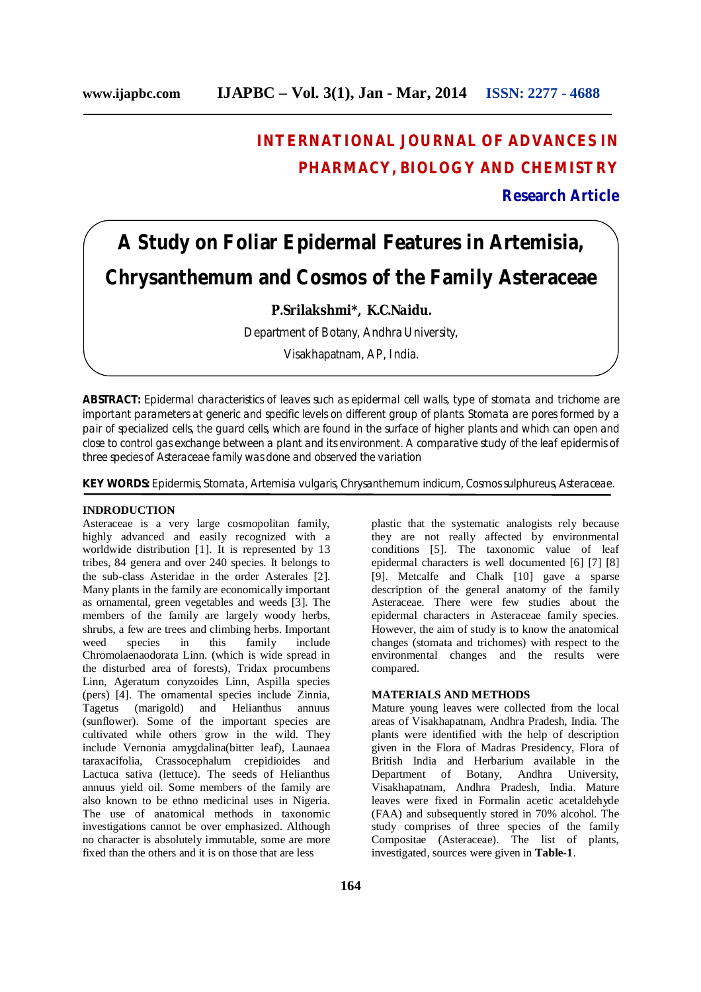# **INTERNATIONAL JOURNAL OF ADVANCES IN PHARMACY, BIOLOGY AND CHEMISTRY Research Article**

# **A Study on Foliar Epidermal Features in Artemisia, Chrysanthemum and Cosmos of the Family Asteraceae**

## **P.Srilakshmi\*, K.C.Naidu.**

Department of Botany, Andhra University,

Visakhapatnam, AP, India.

**ABSTRACT:** Epidermal characteristics of leaves such as epidermal cell walls, type of stomata and trichome are important parameters at generic and specific levels on different group of plants. Stomata are pores formed by a pair of specialized cells, the guard cells, which are found in the surface of higher plants and which can open and close to control gas exchange between a plant and its environment. A comparative study of the leaf epidermis of three species of Asteraceae family was done and observed the variation

**KEY WORDS:** Epidermis, Stomata, Artemisia vulgaris, Chrysanthemum indicum, Cosmos sulphureus, Asteraceae.

### **INDRODUCTION**

Asteraceae is a very large cosmopolitan family, highly advanced and easily recognized with a worldwide distribution [1]. It is represented by 13 tribes, 84 genera and over 240 species. It belongs to the sub-class Asteridae in the order Asterales [2]. Many plants in the family are economically important as ornamental, green vegetables and weeds [3]. The members of the family are largely woody herbs, shrubs, a few are trees and climbing herbs. Important weed species in this family include Chromolaenaodorata Linn. (which is wide spread in the disturbed area of forests), Tridax procumbens Linn, Ageratum conyzoides Linn, Aspilla species (pers) [4]. The ornamental species include Zinnia, Tagetus (marigold) and Helianthus annuus (sunflower). Some of the important species are cultivated while others grow in the wild. They include Vernonia amygdalina(bitter leaf), Launaea taraxacifolia, Crassocephalum crepidioides and Lactuca sativa (lettuce). The seeds of Helianthus annuus yield oil. Some members of the family are also known to be ethno medicinal uses in Nigeria. The use of anatomical methods in taxonomic investigations cannot be over emphasized. Although no character is absolutely immutable, some are more fixed than the others and it is on those that are less

plastic that the systematic analogists rely because they are not really affected by environmental conditions [5]. The taxonomic value of leaf epidermal characters is well documented [6] [7] [8] [9]. Metcalfe and Chalk [10] gave a sparse description of the general anatomy of the family Asteraceae. There were few studies about the epidermal characters in Asteraceae family species. However, the aim of study is to know the anatomical changes (stomata and trichomes) with respect to the environmental changes and the results were compared.

#### **MATERIALS AND METHODS**

Mature young leaves were collected from the local areas of Visakhapatnam, Andhra Pradesh, India. The plants were identified with the help of description given in the Flora of Madras Presidency, Flora of British India and Herbarium available in the Department of Botany, Andhra University, Visakhapatnam, Andhra Pradesh, India. Mature leaves were fixed in Formalin acetic acetaldehyde (FAA) and subsequently stored in 70% alcohol. The study comprises of three species of the family Compositae (Asteraceae). The list of plants, investigated, sources were given in **Table-1**.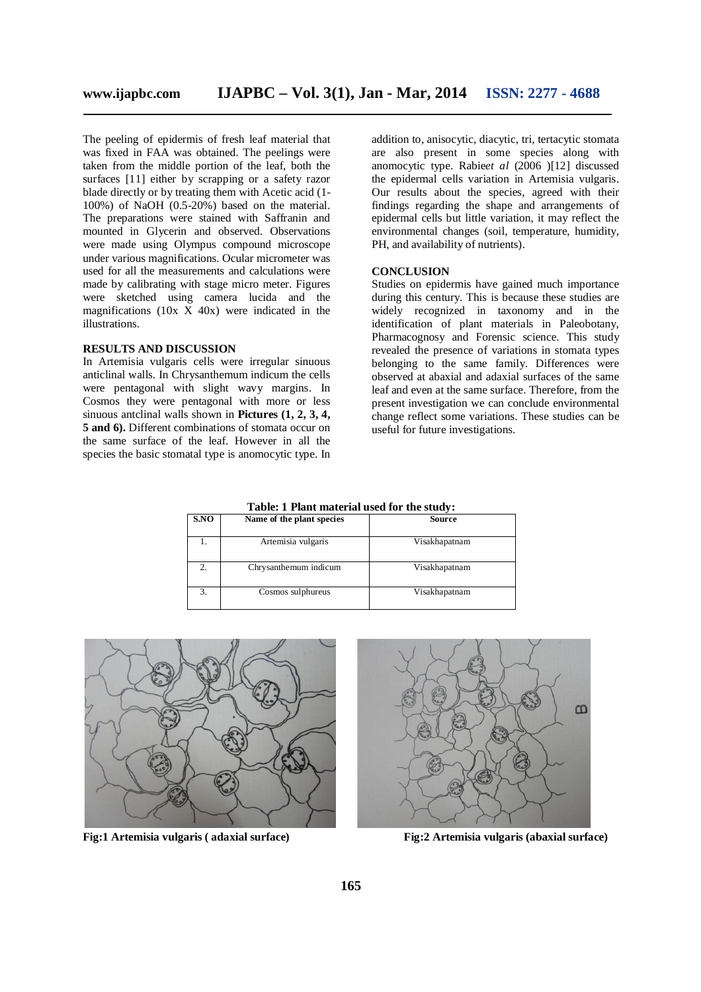The peeling of epidermis of fresh leaf material that was fixed in FAA was obtained. The peelings were taken from the middle portion of the leaf, both the surfaces [11] either by scrapping or a safety razor blade directly or by treating them with Acetic acid (1- 100%) of NaOH (0.5-20%) based on the material. The preparations were stained with Saffranin and mounted in Glycerin and observed. Observations were made using Olympus compound microscope under various magnifications. Ocular micrometer was used for all the measurements and calculations were made by calibrating with stage micro meter. Figures were sketched using camera lucida and the magnifications  $(10x \times 40x)$  were indicated in the illustrations.

#### **RESULTS AND DISCUSSION**

In Artemisia vulgaris cells were irregular sinuous anticlinal walls. In Chrysanthemum indicum the cells were pentagonal with slight wavy margins. In Cosmos they were pentagonal with more or less sinuous antclinal walls shown in **Pictures (1, 2, 3, 4, 5 and 6).** Different combinations of stomata occur on the same surface of the leaf. However in all the species the basic stomatal type is anomocytic type. In

addition to, anisocytic, diacytic, tri, tertacytic stomata are also present in some species along with anomocytic type. Rabie*et al* (2006 )[12] discussed the epidermal cells variation in Artemisia vulgaris. Our results about the species, agreed with their findings regarding the shape and arrangements of epidermal cells but little variation, it may reflect the environmental changes (soil, temperature, humidity, PH, and availability of nutrients).

#### **CONCLUSION**

Studies on epidermis have gained much importance during this century. This is because these studies are widely recognized in taxonomy and in the identification of plant materials in Paleobotany, Pharmacognosy and Forensic science. This study revealed the presence of variations in stomata types belonging to the same family. Differences were observed at abaxial and adaxial surfaces of the same leaf and even at the same surface. Therefore, from the present investigation we can conclude environmental change reflect some variations. These studies can be useful for future investigations.

| Table: 1 Plant material used for the study: |  |
|---------------------------------------------|--|
|---------------------------------------------|--|

| S.NO | Name of the plant species | Source        |
|------|---------------------------|---------------|
|      | Artemisia vulgaris        | Visakhapatnam |
| 2.   | Chrysanthemum indicum     | Visakhapatnam |
| 3.   | Cosmos sulphureus         | Visakhapatnam |





**Fig:1 Artemisia vulgaris ( adaxial surface) Fig:2 Artemisia vulgaris (abaxial surface)**